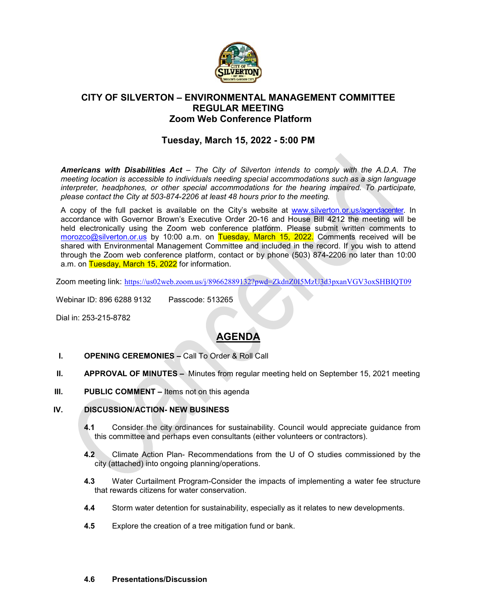

## **CITY OF SILVERTON – ENVIRONMENTAL MANAGEMENT COMMITTEE REGULAR MEETING Zoom Web Conference Platform**

## **Tuesday, March 15, 2022 - 5:00 PM**

*Americans with Disabilities Act – The City of Silverton intends to comply with the A.D.A. The meeting location is accessible to individuals needing special accommodations such as a sign language interpreter, headphones, or other special accommodations for the hearing impaired. To participate, please contact the City at 503-874-2206 at least 48 hours prior to the meeting.*

A copy of the full packet is available on the City's website at [www.silverton.or.us/agendacenter.](http://www.silverton.or.us/agendacenter) In accordance with Governor Brown's Executive Order 20-16 and House Bill 4212 the meeting will be held electronically using the Zoom web conference platform. Please submit written comments to [morozco@silverton.or.us](mailto:morozco@silverton.or.us) by 10:00 a.m. on Tuesday, March 15, 2022. Comments received will be shared with Environmental Management Committee and included in the record. If you wish to attend through the Zoom web conference platform, contact or by phone (503) 874-2206 no later than 10:00 a.m. on Tuesday, March 15, 2022 for information.

Zoom meeting link: <https://us02web.zoom.us/j/89662889132?pwd=ZkdnZ0I5MzU3d3pxanVGV3oxSHBIQT09>

Webinar ID: 896 6288 9132 Passcode: 513265

Dial in: 253-215-8782

# **AGENDA**

- **I. OPENING CEREMONIES –** Call To Order & Roll Call
- **II. APPROVAL OF MINUTES –** Minutes from regular meeting held on September 15, 2021 meeting
- **III. PUBLIC COMMENT –** Items not on this agenda

#### **IV. DISCUSSION/ACTION- NEW BUSINESS**

- **4.1** Consider the city ordinances for sustainability. Council would appreciate guidance from this committee and perhaps even consultants (either volunteers or contractors).
- **4.2** Climate Action Plan- Recommendations from the U of O studies commissioned by the city (attached) into ongoing planning/operations.
- **4.3** Water Curtailment Program-Consider the impacts of implementing a water fee structure that rewards citizens for water conservation.
- **4.4** Storm water detention for sustainability, especially as it relates to new developments.
- **4.5** Explore the creation of a tree mitigation fund or bank.